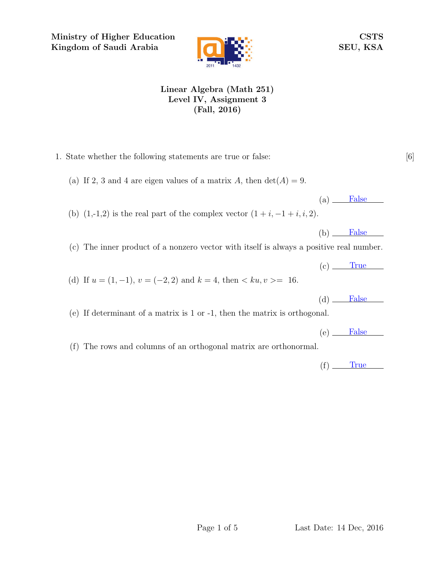Ministry of Higher Education Kingdom of Saudi Arabia



CSTS SEU, KSA

## Linear Algebra (Math 251) Level IV, Assignment 3 (Fall, 2016)

1. State whether the following statements are true or false: [6] (a) If 2, 3 and 4 are eigen values of a matrix A, then  $\det(A) = 9$ .  $(a)$  False (b)  $(1,-1,2)$  is the real part of the complex vector  $(1+i, -1+i, i, 2)$ .  $(b)$  False (c) The inner product of a nonzero vector with itself is always a positive real number.  $(c)$  True (d) If  $u = (1, -1)$ ,  $v = (-2, 2)$  and  $k = 4$ , then  $\langle ku, v \rangle = 16$ .  $(d)$  False (e) If determinant of a matrix is 1 or -1, then the matrix is orthogonal.  $(e)$  False (f) The rows and columns of an orthogonal matrix are orthonormal.  $(f)$  True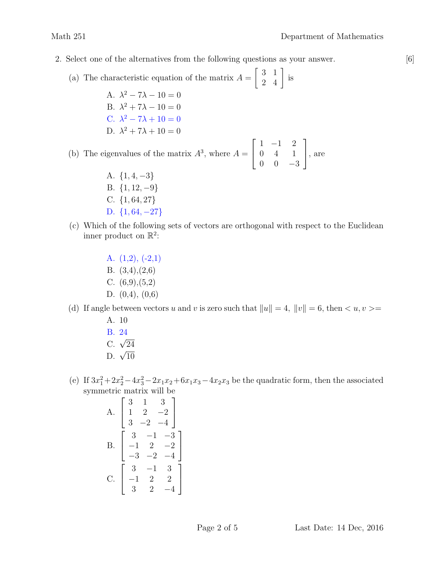- 2. Select one of the alternatives from the following questions as your answer. [6]
	- (a) The characteristic equation of the matrix  $A =$  $\left[\begin{array}{cc} 3 & 1 \\ 2 & 4 \end{array}\right]$  is
		- A.  $\lambda^2 7\lambda 10 = 0$ B.  $\lambda^2 + 7\lambda - 10 = 0$ C.  $\lambda^2 - 7\lambda + 10 = 0$ D.  $\lambda^2 + 7\lambda + 10 = 0$

(b) The eigenvalues of the matrix  $A^3$ , where  $A =$  $\sqrt{ }$  $\vert$ 1 −1 2 0 4 1  $0 \t 0 \t -3$ 1 , are

- A.  $\{1, 4, -3\}$ B. {1, 12, −9} C. {1, 64, 27} D.  ${1, 64, -27}$
- (c) Which of the following sets of vectors are orthogonal with respect to the Euclidean inner product on  $\mathbb{R}^2$ :

A. (1,2), (-2,1) B. (3,4),(2,6) C.  $(6,9),(5,2)$ D. (0,4), (0,6)

(d) If angle between vectors u and v is zero such that  $||u|| = 4$ ,  $||v|| = 6$ , then  $\langle u, v \rangle =$ 

- A. 10 B. 24
- $C. \sqrt{24}$
- $D. \sqrt{10}$
- (e) If  $3x_1^2 + 2x_2^2 4x_3^2 2x_1x_2 + 6x_1x_3 4x_2x_3$  be the quadratic form, then the associated symmetric matrix will be

A. 
$$
\begin{bmatrix} 3 & 1 & 3 \ 1 & 2 & -2 \ 3 & -2 & -4 \end{bmatrix}
$$
  
B. 
$$
\begin{bmatrix} 3 & -1 & -3 \ -1 & 2 & -2 \ -3 & -2 & -4 \end{bmatrix}
$$
  
C. 
$$
\begin{bmatrix} 3 & -1 & 3 \ -1 & 2 & 2 \ 3 & 2 & -4 \end{bmatrix}
$$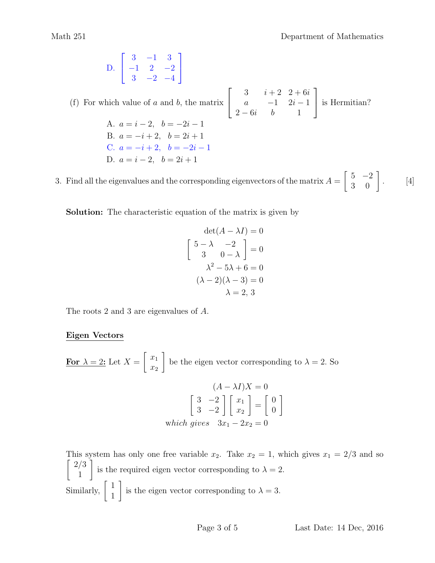D. 
$$
\begin{bmatrix} 3 & -1 & 3 \ -1 & 2 & -2 \ 3 & -2 & -4 \end{bmatrix}
$$

(f) For which value of  $a$  and  $b$ , the matrix  $\sqrt{ }$  $\vert$ 3  $i + 2$  2 + 6i a  $-1$   $2i-1$  $2-6i$  b 1 1 is Hermitian? A.  $a = i - 2, b = -2i - 1$ B.  $a = -i + 2$ ,  $b = 2i + 1$ C.  $a = -i + 2$ ,  $b = -2i - 1$ D.  $a = i - 2, b = 2i + 1$ 

3. Find all the eigenvalues and the corresponding eigenvectors of the matrix  $A = \begin{bmatrix} 5 & -2 \\ 3 & 0 \end{bmatrix}$ . [4]

Solution: The characteristic equation of the matrix is given by

$$
\det(A - \lambda I) = 0
$$

$$
\begin{bmatrix} 5 - \lambda & -2 \\ 3 & 0 - \lambda \end{bmatrix} = 0
$$

$$
\lambda^2 - 5\lambda + 6 = 0
$$

$$
(\lambda - 2)(\lambda - 3) = 0
$$

$$
\lambda = 2, 3
$$

The roots 2 and 3 are eigenvalues of A.

## Eigen Vectors

For  $\lambda = 2$ : Let  $X =$  $\lceil x_1 \rceil$  $\overline{x_2}$ 1 be the eigen vector corresponding to  $\lambda = 2$ . So  $(A - \lambda I)X = 0$  $\begin{bmatrix} 3 & -2 \end{bmatrix}$  $3 -2$  $\left[\begin{array}{c}x_1\end{array}\right]$  $\overline{x_2}$ 1 =  $\begin{bmatrix} 0 \end{bmatrix}$ 0 1 which gives  $3x_1 - 2x_2 = 0$ 

This system has only one free variable  $x_2$ . Take  $x_2 = 1$ , which gives  $x_1 = 2/3$  and so  $\lceil 2/3 \rceil$ 1 1 is the required eigen vector corresponding to  $\lambda = 2$ . Similarly,  $\begin{bmatrix} 1 \\ 1 \end{bmatrix}$ 1 1 is the eigen vector corresponding to  $\lambda = 3$ .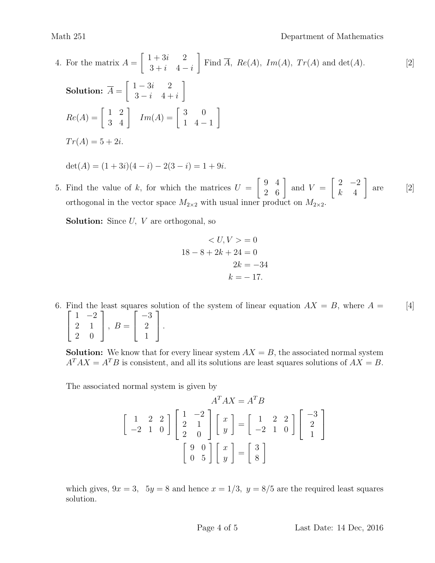Math 251 Department of Mathematics

4. For the matrix 
$$
A = \begin{bmatrix} 1+3i & 2 \ 3+i & 4-i \end{bmatrix}
$$
 Find  $\overline{A}$ ,  $Re(A)$ ,  $Im(A)$ ,  $Tr(A)$  and det $(A)$ .  
\n**Solution:**  $\overline{A} = \begin{bmatrix} 1-3i & 2 \ 3-i & 4+i \end{bmatrix}$   
\n $Re(A) = \begin{bmatrix} 1 & 2 \ 3 & 4 \end{bmatrix}$   $Im(A) = \begin{bmatrix} 3 & 0 \ 1 & 4-1 \end{bmatrix}$   
\n $Tr(A) = 5+2i$ .  
\n $det(A) = (1+3i)(4-i) - 2(3-i) = 1+9i$ .

5. Find the value of k, for which the matrices  $U = \begin{bmatrix} 9 & 4 \\ 2 & 6 \end{bmatrix}$  and  $V = \begin{bmatrix} 2 & -2 \\ k & 4 \end{bmatrix}$  are [2]  $\begin{bmatrix} 2 & -2 \end{bmatrix}$  $k \quad 4$ 1 are orthogonal in the vector space  $M_{2\times 2}$  with usual inner product on  $M_{2\times 2}$ .

**Solution:** Since  $U$ ,  $V$  are orthogonal, so

$$
\langle U, V \rangle = 0
$$
  

$$
18 - 8 + 2k + 24 = 0
$$
  

$$
2k = -34
$$
  

$$
k = -17.
$$

6. Find the least squares solution of the system of linear equation  $AX = B$ , where  $A = \begin{bmatrix} 4 \end{bmatrix}$  $\sqrt{ }$  $\overline{\phantom{a}}$  $1 -2$ 2 1 2 0 1  $\Big\vert$ ,  $B=$  $\sqrt{ }$  $\overline{1}$ −3 2 1 1  $\vert \cdot$ 

**Solution:** We know that for every linear system  $AX = B$ , the associated normal system  $A^T A X = A^T B$  is consistent, and all its solutions are least squares solutions of  $A X = B$ .

The associated normal system is given by

$$
A^T A X = A^T B
$$
  
\n
$$
\begin{bmatrix} 1 & 2 & 2 \\ -2 & 1 & 0 \end{bmatrix} \begin{bmatrix} 1 & -2 \\ 2 & 1 \\ 2 & 0 \end{bmatrix} \begin{bmatrix} x \\ y \end{bmatrix} = \begin{bmatrix} 1 & 2 & 2 \\ -2 & 1 & 0 \end{bmatrix} \begin{bmatrix} -3 \\ 2 \\ 1 \end{bmatrix}
$$
  
\n
$$
\begin{bmatrix} 9 & 0 \\ 0 & 5 \end{bmatrix} \begin{bmatrix} x \\ y \end{bmatrix} = \begin{bmatrix} 3 \\ 8 \end{bmatrix}
$$

which gives,  $9x = 3$ ,  $5y = 8$  and hence  $x = 1/3$ ,  $y = 8/5$  are the required least squares solution.